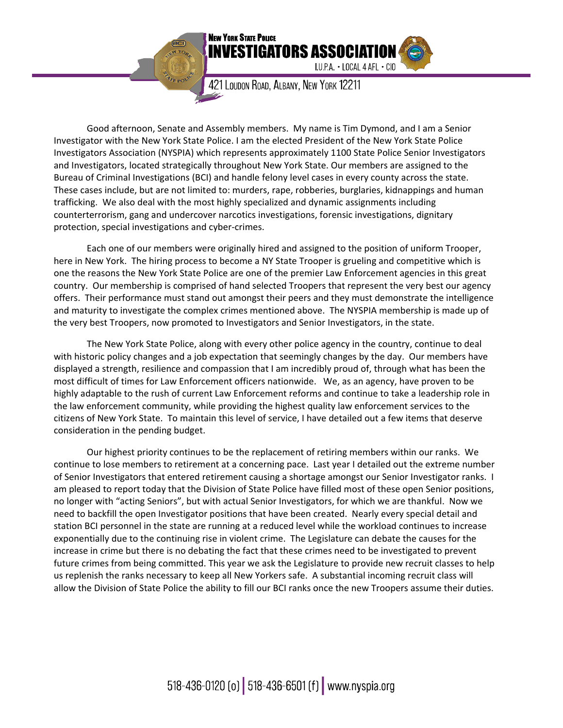

421 LOUDON ROAD, ALBANY, NEW YORK 12211

IUPA · LOCAL 4 AFL · CIO

Good afternoon, Senate and Assembly members. My name is Tim Dymond, and I am a Senior Investigator with the New York State Police. I am the elected President of the New York State Police Investigators Association (NYSPIA) which represents approximately 1100 State Police Senior Investigators and Investigators, located strategically throughout New York State. Our members are assigned to the Bureau of Criminal Investigations (BCI) and handle felony level cases in every county across the state. These cases include, but are not limited to: murders, rape, robberies, burglaries, kidnappings and human trafficking. We also deal with the most highly specialized and dynamic assignments including counterterrorism, gang and undercover narcotics investigations, forensic investigations, dignitary protection, special investigations and cyber‐crimes.

Each one of our members were originally hired and assigned to the position of uniform Trooper, here in New York. The hiring process to become a NY State Trooper is grueling and competitive which is one the reasons the New York State Police are one of the premier Law Enforcement agencies in this great country. Our membership is comprised of hand selected Troopers that represent the very best our agency offers. Their performance must stand out amongst their peers and they must demonstrate the intelligence and maturity to investigate the complex crimes mentioned above. The NYSPIA membership is made up of the very best Troopers, now promoted to Investigators and Senior Investigators, in the state.

The New York State Police, along with every other police agency in the country, continue to deal with historic policy changes and a job expectation that seemingly changes by the day. Our members have displayed a strength, resilience and compassion that I am incredibly proud of, through what has been the most difficult of times for Law Enforcement officers nationwide. We, as an agency, have proven to be highly adaptable to the rush of current Law Enforcement reforms and continue to take a leadership role in the law enforcement community, while providing the highest quality law enforcement services to the citizens of New York State. To maintain this level of service, I have detailed out a few items that deserve consideration in the pending budget.

Our highest priority continues to be the replacement of retiring members within our ranks. We continue to lose members to retirement at a concerning pace. Last year I detailed out the extreme number of Senior Investigators that entered retirement causing a shortage amongst our Senior Investigator ranks. I am pleased to report today that the Division of State Police have filled most of these open Senior positions, no longer with "acting Seniors", but with actual Senior Investigators, for which we are thankful. Now we need to backfill the open Investigator positions that have been created. Nearly every special detail and station BCI personnel in the state are running at a reduced level while the workload continues to increase exponentially due to the continuing rise in violent crime. The Legislature can debate the causes for the increase in crime but there is no debating the fact that these crimes need to be investigated to prevent future crimes from being committed. This year we ask the Legislature to provide new recruit classes to help us replenish the ranks necessary to keep all New Yorkers safe. A substantial incoming recruit class will allow the Division of State Police the ability to fill our BCI ranks once the new Troopers assume their duties.